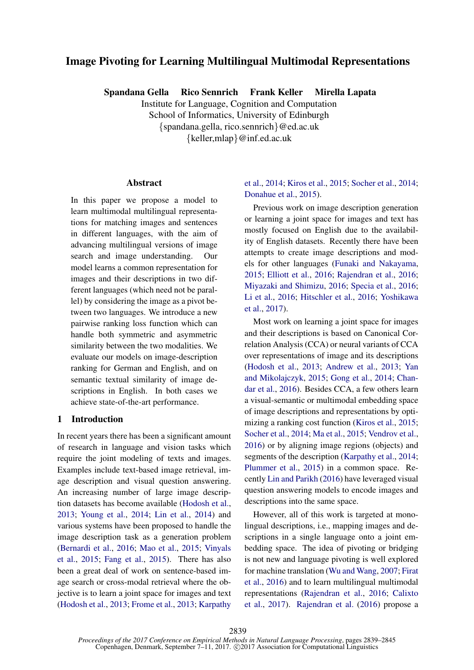# Image Pivoting for Learning Multilingual Multimodal Representations

Spandana Gella Rico Sennrich Frank Keller Mirella Lapata

Institute for Language, Cognition and Computation School of Informatics, University of Edinburgh {spandana.gella, rico.sennrich}@ed.ac.uk {keller,mlap}@inf.ed.ac.uk

### Abstract

In this paper we propose a model to learn multimodal multilingual representations for matching images and sentences in different languages, with the aim of advancing multilingual versions of image search and image understanding. Our model learns a common representation for images and their descriptions in two different languages (which need not be parallel) by considering the image as a pivot between two languages. We introduce a new pairwise ranking loss function which can handle both symmetric and asymmetric similarity between the two modalities. We evaluate our models on image-description ranking for German and English, and on semantic textual similarity of image descriptions in English. In both cases we achieve state-of-the-art performance.

### 1 Introduction

In recent years there has been a significant amount of research in language and vision tasks which require the joint modeling of texts and images. Examples include text-based image retrieval, image description and visual question answering. An increasing number of large image description datasets has become available (Hodosh et al., 2013; Young et al., 2014; Lin et al., 2014) and various systems have been proposed to handle the image description task as a generation problem (Bernardi et al., 2016; Mao et al., 2015; Vinyals et al., 2015; Fang et al., 2015). There has also been a great deal of work on sentence-based image search or cross-modal retrieval where the objective is to learn a joint space for images and text (Hodosh et al., 2013; Frome et al., 2013; Karpathy

## et al., 2014; Kiros et al., 2015; Socher et al., 2014; Donahue et al., 2015).

Previous work on image description generation or learning a joint space for images and text has mostly focused on English due to the availability of English datasets. Recently there have been attempts to create image descriptions and models for other languages (Funaki and Nakayama, 2015; Elliott et al., 2016; Rajendran et al., 2016; Miyazaki and Shimizu, 2016; Specia et al., 2016; Li et al., 2016; Hitschler et al., 2016; Yoshikawa et al., 2017).

Most work on learning a joint space for images and their descriptions is based on Canonical Correlation Analysis (CCA) or neural variants of CCA over representations of image and its descriptions (Hodosh et al., 2013; Andrew et al., 2013; Yan and Mikolajczyk, 2015; Gong et al., 2014; Chandar et al., 2016). Besides CCA, a few others learn a visual-semantic or multimodal embedding space of image descriptions and representations by optimizing a ranking cost function (Kiros et al., 2015; Socher et al., 2014; Ma et al., 2015; Vendrov et al., 2016) or by aligning image regions (objects) and segments of the description (Karpathy et al., 2014; Plummer et al., 2015) in a common space. Recently Lin and Parikh (2016) have leveraged visual question answering models to encode images and descriptions into the same space.

However, all of this work is targeted at monolingual descriptions, i.e., mapping images and descriptions in a single language onto a joint embedding space. The idea of pivoting or bridging is not new and language pivoting is well explored for machine translation (Wu and Wang, 2007; Firat et al., 2016) and to learn multilingual multimodal representations (Rajendran et al., 2016; Calixto et al., 2017). Rajendran et al. (2016) propose a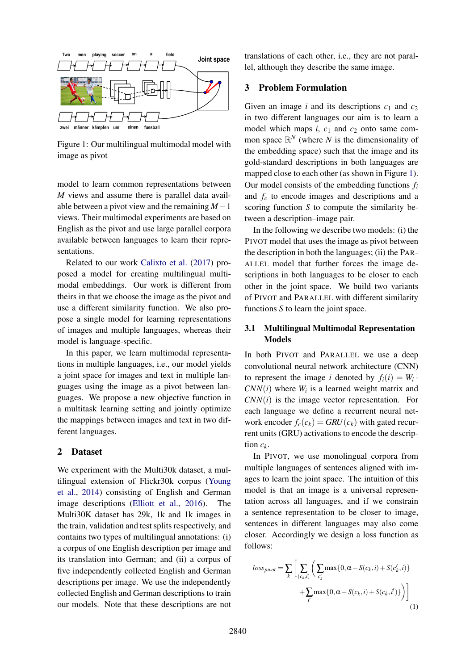

Figure 1: Our multilingual multimodal model with image as pivot

model to learn common representations between *M* views and assume there is parallel data available between a pivot view and the remaining *M*−1 views. Their multimodal experiments are based on English as the pivot and use large parallel corpora available between languages to learn their representations.

Related to our work Calixto et al. (2017) proposed a model for creating multilingual multimodal embeddings. Our work is different from theirs in that we choose the image as the pivot and use a different similarity function. We also propose a single model for learning representations of images and multiple languages, whereas their model is language-specific.

In this paper, we learn multimodal representations in multiple languages, i.e., our model yields a joint space for images and text in multiple languages using the image as a pivot between languages. We propose a new objective function in a multitask learning setting and jointly optimize the mappings between images and text in two different languages.

### 2 Dataset

We experiment with the Multi30k dataset, a multilingual extension of Flickr30k corpus (Young et al., 2014) consisting of English and German image descriptions (Elliott et al., 2016). The Multi30K dataset has 29k, 1k and 1k images in the train, validation and test splits respectively, and contains two types of multilingual annotations: (i) a corpus of one English description per image and its translation into German; and (ii) a corpus of five independently collected English and German descriptions per image. We use the independently collected English and German descriptions to train our models. Note that these descriptions are not translations of each other, i.e., they are not parallel, although they describe the same image.

### 3 Problem Formulation

Given an image *i* and its descriptions  $c_1$  and  $c_2$ in two different languages our aim is to learn a model which maps  $i$ ,  $c_1$  and  $c_2$  onto same common space  $\mathbb{R}^N$  (where *N* is the dimensionality of the embedding space) such that the image and its gold-standard descriptions in both languages are mapped close to each other (as shown in Figure 1). Our model consists of the embedding functions *f<sup>i</sup>* and *f<sup>c</sup>* to encode images and descriptions and a scoring function *S* to compute the similarity between a description–image pair.

In the following we describe two models: (i) the PIVOT model that uses the image as pivot between the description in both the languages; (ii) the PAR-ALLEL model that further forces the image descriptions in both languages to be closer to each other in the joint space. We build two variants of PIVOT and PARALLEL with different similarity functions *S* to learn the joint space.

# 3.1 Multilingual Multimodal Representation Models

In both PIVOT and PARALLEL we use a deep convolutional neural network architecture (CNN) to represent the image *i* denoted by  $f_i(i) = W_i$ .  $CNN(i)$  where  $W_i$  is a learned weight matrix and *CNN*(*i*) is the image vector representation. For each language we define a recurrent neural network encoder  $f_c(c_k) = GRU(c_k)$  with gated recurrent units (GRU) activations to encode the description  $c_k$ .

In PIVOT, we use monolingual corpora from multiple languages of sentences aligned with images to learn the joint space. The intuition of this model is that an image is a universal representation across all languages, and if we constrain a sentence representation to be closer to image, sentences in different languages may also come closer. Accordingly we design a loss function as follows:

$$
loss_{pivot} = \sum_{k} \left[ \sum_{(c_k, i)} \left( \sum_{c'_k} \max\{0, \alpha - S(c_k, i) + S(c'_k, i)\} + \sum_{i'} \max\{0, \alpha - S(c_k, i) + S(c_k, i')\} \right) \right]
$$
\n(1)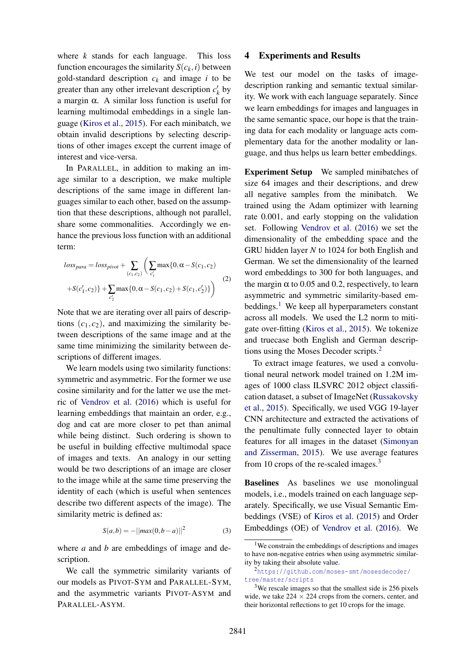where *k* stands for each language. This loss function encourages the similarity  $S(c_k, i)$  between gold-standard description  $c_k$  and image *i* to be greater than any other irrelevant description  $c'_{k}$  by a margin α. A similar loss function is useful for learning multimodal embeddings in a single language (Kiros et al., 2015). For each minibatch, we obtain invalid descriptions by selecting descriptions of other images except the current image of interest and vice-versa.

In PARALLEL, in addition to making an image similar to a description, we make multiple descriptions of the same image in different languages similar to each other, based on the assumption that these descriptions, although not parallel, share some commonalities. Accordingly we enhance the previous loss function with an additional term:

$$
loss_{para} = loss_{pivot} + \sum_{(c_1, c_2)} \left( \sum_{c'_1} \max\{0, \alpha - S(c_1, c_2) + S(c'_1, c_2)\right)
$$
  
+
$$
S(c'_1, c_2) \} + \sum_{c'_2} \max\{0, \alpha - S(c_1, c_2) + S(c_1, c'_2)\}\right)
$$
(2)

Note that we are iterating over all pairs of descriptions  $(c_1, c_2)$ , and maximizing the similarity between descriptions of the same image and at the same time minimizing the similarity between descriptions of different images.

We learn models using two similarity functions: symmetric and asymmetric. For the former we use cosine similarity and for the latter we use the metric of Vendrov et al. (2016) which is useful for learning embeddings that maintain an order, e.g., dog and cat are more closer to pet than animal while being distinct. Such ordering is shown to be useful in building effective multimodal space of images and texts. An analogy in our setting would be two descriptions of an image are closer to the image while at the same time preserving the identity of each (which is useful when sentences describe two different aspects of the image). The similarity metric is defined as:

$$
S(a,b) = -||max(0,b-a)||^2
$$
 (3)

where *a* and *b* are embeddings of image and description.

#### 4 Experiments and Results

We test our model on the tasks of imagedescription ranking and semantic textual similarity. We work with each language separately. Since we learn embeddings for images and languages in the same semantic space, our hope is that the training data for each modality or language acts complementary data for the another modality or language, and thus helps us learn better embeddings.

Experiment Setup We sampled minibatches of size 64 images and their descriptions, and drew all negative samples from the minibatch. We trained using the Adam optimizer with learning rate 0.001, and early stopping on the validation set. Following Vendrov et al. (2016) we set the dimensionality of the embedding space and the GRU hidden layer *N* to 1024 for both English and German. We set the dimensionality of the learned word embeddings to 300 for both languages, and the margin  $\alpha$  to 0.05 and 0.2, respectively, to learn asymmetric and symmetric similarity-based embeddings.<sup>1</sup> We keep all hyperparameters constant across all models. We used the L2 norm to mitigate over-fitting (Kiros et al., 2015). We tokenize and truecase both English and German descriptions using the Moses Decoder scripts.<sup>2</sup>

To extract image features, we used a convolutional neural network model trained on 1.2M images of 1000 class ILSVRC 2012 object classification dataset, a subset of ImageNet (Russakovsky et al., 2015). Specifically, we used VGG 19-layer CNN architecture and extracted the activations of the penultimate fully connected layer to obtain features for all images in the dataset (Simonyan and Zisserman, 2015). We use average features from 10 crops of the re-scaled images.<sup>3</sup>

Baselines As baselines we use monolingual models, i.e., models trained on each language separately. Specifically, we use Visual Semantic Embeddings (VSE) of Kiros et al. (2015) and Order Embeddings (OE) of Vendrov et al. (2016). We

We call the symmetric similarity variants of our models as PIVOT-SYM and PARALLEL-SYM, and the asymmetric variants PIVOT-ASYM and PARALLEL-ASYM.

<sup>&</sup>lt;sup>1</sup>We constrain the embeddings of descriptions and images to have non-negative entries when using asymmetric similarity by taking their absolute value.

<sup>2</sup>https://github.com/moses-smt/mosesdecoder/ tree/master/scripts

<sup>3</sup>We rescale images so that the smallest side is 256 pixels wide, we take  $224 \times 224$  crops from the corners, center, and their horizontal reflections to get 10 crops for the image.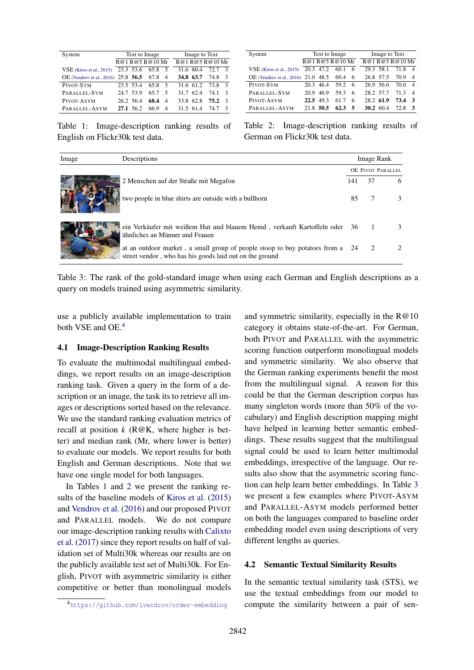| System                              | Text to Image |        |                | Image to Text |      |  |  |
|-------------------------------------|---------------|--------|----------------|---------------|------|--|--|
|                                     | R@1R@5R@10Mr  |        |                | R@1R@5R@10Mr  |      |  |  |
| $VSE$ (Kiros et al., 2015)          | 23.3 53.6     | 65.8 5 |                | 31.6 60.4     | 72.7 |  |  |
| OE (Vendrov et al., 2016) 25.8 56.5 |               | 67.8 4 |                | 34.8 63.7     | 74.8 |  |  |
| PIVOT-SYM                           | 23.5 53.4     | 65.8 5 |                | 31.6 61.2     | 73.8 |  |  |
| PARALLEL-SYM                        | 24.7 53.9     | 65.7   | -5             | 31.7 62.4     | 74 1 |  |  |
| PIVOT-ASYM                          | 26.2 56.4     | 68.4   | $\overline{4}$ | 33.8 62.8     | 75.2 |  |  |
| PARALLEL-ASYM                       | 27.1 56.2     | 66 9   | $\overline{4}$ | 31.5 61.4     | 74 7 |  |  |

System Text to Image Image to Text  $\frac{\text{R@1 R@5 R@10 Mr}}{20.3 \cdot 47.2 \cdot 60.1 \cdot 6}$  R@1 R@5 R@10 Mr VSE (Kiros et al., 2015) 20.3 47.2 OE (Vendrov et al., 2016) 21.0 48.5 60.4 6 26.8 57.5 70.9 4 PIVOT-SYM 20.3 46.4 59.2 6 PARALLEL-SYM 20.9 46.9 59.3 6 28.2 57.7 71.3 4<br>PIVOT-ASYM 22.5 49.3 61.7 6 28.2 61.9 73.4 3 PIVOT-ASYM 22.5 49.3 61.7 6<br>PARALLEL-ASYM 21.8 50.5 62.3 5 <sup>P</sup>ARALLEL-ASYM 21.8 50.5 62.3 5 30.2 60.4 72.8 <sup>3</sup>

Table 1: Image-description ranking results of English on Flickr30k test data.

| Table 2: Image-description ranking results of |  |  |
|-----------------------------------------------|--|--|
| German on Flickr30k test data.                |  |  |

| Image | Descriptions                                                                                                                             |                   | Image Rank |  |  |
|-------|------------------------------------------------------------------------------------------------------------------------------------------|-------------------|------------|--|--|
|       |                                                                                                                                          | OE PIVOT PARALLEL |            |  |  |
|       | 2 Menschen auf der Straße mit Megafon                                                                                                    | 141               | 37         |  |  |
|       | two people in blue shirts are outside with a bullhorn                                                                                    | 85                |            |  |  |
|       | ein Verkäufer mit weißem Hut und blauem Hemd, verkauft Kartoffeln oder 36 1<br>ähnliches an Männer und Frauen                            |                   |            |  |  |
|       | at an outdoor market, a small group of people stoop to buy potatoes from a 24<br>street vendor, who has his goods laid out on the ground |                   |            |  |  |

Table 3: The rank of the gold-standard image when using each German and English descriptions as a query on models trained using asymmetric similarity.

use a publicly available implementation to train both VSE and OE.<sup>4</sup>

### 4.1 Image-Description Ranking Results

To evaluate the multimodal multilingual embeddings, we report results on an image-description ranking task. Given a query in the form of a description or an image, the task its to retrieve all images or descriptions sorted based on the relevance. We use the standard ranking evaluation metrics of recall at position  $k$  ( $R@K$ , where higher is better) and median rank (Mr, where lower is better) to evaluate our models. We report results for both English and German descriptions. Note that we have one single model for both languages.

In Tables 1 and 2 we present the ranking results of the baseline models of Kiros et al. (2015) and Vendrov et al. (2016) and our proposed PIVOT and PARALLEL models. We do not compare our image-description ranking results with Calixto et al. (2017) since they report results on half of validation set of Multi30k whereas our results are on the publicly available test set of Multi30k. For English, PIVOT with asymmetric similarity is either competitive or better than monolingual models

scoring function outperform monolingual models and symmetric similarity. We also observe that the German ranking experiments benefit the most from the multilingual signal. A reason for this could be that the German description corpus has many singleton words (more than 50% of the vocabulary) and English description mapping might have helped in learning better semantic embeddings. These results suggest that the multilingual signal could be used to learn better multimodal embeddings, irrespective of the language. Our results also show that the asymmetric scoring function can help learn better embeddings. In Table 3 we present a few examples where PIVOT-ASYM and PARALLEL-ASYM models performed better on both the languages compared to baseline order embedding model even using descriptions of very different lengths as queries.

and symmetric similarity, especially in the  $R@10$ category it obtains state-of-the-art. For German, both PIVOT and PARALLEL with the asymmetric

#### 4.2 Semantic Textual Similarity Results

In the semantic textual similarity task (STS), we use the textual embeddings from our model to compute the similarity between a pair of sen-

<sup>4</sup>https://github.com/ivendrov/order-embedding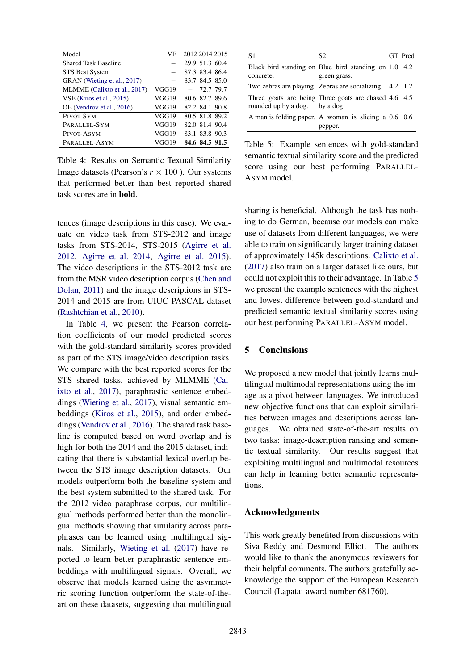| VF    | 2012 2014 2015 |
|-------|----------------|
|       | 29.9 51.3 60.4 |
|       | 87.3 83.4 86.4 |
|       | 83.7 84.5 85.0 |
| VGG19 | $-72.779.7$    |
| VGG19 | 80.6 82.7 89.6 |
| VGG19 | 82.2 84.1 90.8 |
| VGG19 | 80.5 81.8 89.2 |
| VGG19 | 82.0 81.4 90.4 |
| VGG19 | 83.1 83.8 90.3 |
| VGG19 | 84.6 84.5 91.5 |
|       |                |

Table 4: Results on Semantic Textual Similarity Image datasets (Pearson's  $r \times 100$ ). Our systems that performed better than best reported shared task scores are in bold.

tences (image descriptions in this case). We evaluate on video task from STS-2012 and image tasks from STS-2014, STS-2015 (Agirre et al. 2012, Agirre et al. 2014, Agirre et al. 2015). The video descriptions in the STS-2012 task are from the MSR video description corpus (Chen and Dolan, 2011) and the image descriptions in STS-2014 and 2015 are from UIUC PASCAL dataset (Rashtchian et al., 2010).

In Table 4, we present the Pearson correlation coefficients of our model predicted scores with the gold-standard similarity scores provided as part of the STS image/video description tasks. We compare with the best reported scores for the STS shared tasks, achieved by MLMME (Calixto et al., 2017), paraphrastic sentence embeddings (Wieting et al., 2017), visual semantic embeddings (Kiros et al., 2015), and order embeddings (Vendrov et al., 2016). The shared task baseline is computed based on word overlap and is high for both the 2014 and the 2015 dataset, indicating that there is substantial lexical overlap between the STS image description datasets. Our models outperform both the baseline system and the best system submitted to the shared task. For the 2012 video paraphrase corpus, our multilingual methods performed better than the monolingual methods showing that similarity across paraphrases can be learned using multilingual signals. Similarly, Wieting et al. (2017) have reported to learn better paraphrastic sentence embeddings with multilingual signals. Overall, we observe that models learned using the asymmetric scoring function outperform the state-of-theart on these datasets, suggesting that multilingual

| S1                            | S2.                                                                  | GT Pred |
|-------------------------------|----------------------------------------------------------------------|---------|
| concrete.                     | Black bird standing on Blue bird standing on 1.0 4.2<br>green grass. |         |
|                               | Two zebras are playing. Zebras are socializing. 4.2 1.2              |         |
| rounded up by a dog. by a dog | Three goats are being Three goats are chased 4.6 4.5                 |         |
|                               | A man is folding paper. A woman is slicing a 0.6 0.6<br>pepper.      |         |

Table 5: Example sentences with gold-standard semantic textual similarity score and the predicted score using our best performing PARALLEL-ASYM model.

sharing is beneficial. Although the task has nothing to do German, because our models can make use of datasets from different languages, we were able to train on significantly larger training dataset of approximately 145k descriptions. Calixto et al. (2017) also train on a larger dataset like ours, but could not exploit this to their advantage. In Table 5 we present the example sentences with the highest and lowest difference between gold-standard and predicted semantic textual similarity scores using our best performing PARALLEL-ASYM model.

### 5 Conclusions

We proposed a new model that jointly learns multilingual multimodal representations using the image as a pivot between languages. We introduced new objective functions that can exploit similarities between images and descriptions across languages. We obtained state-of-the-art results on two tasks: image-description ranking and semantic textual similarity. Our results suggest that exploiting multilingual and multimodal resources can help in learning better semantic representations.

### Acknowledgments

This work greatly benefited from discussions with Siva Reddy and Desmond Elliot. The authors would like to thank the anonymous reviewers for their helpful comments. The authors gratefully acknowledge the support of the European Research Council (Lapata: award number 681760).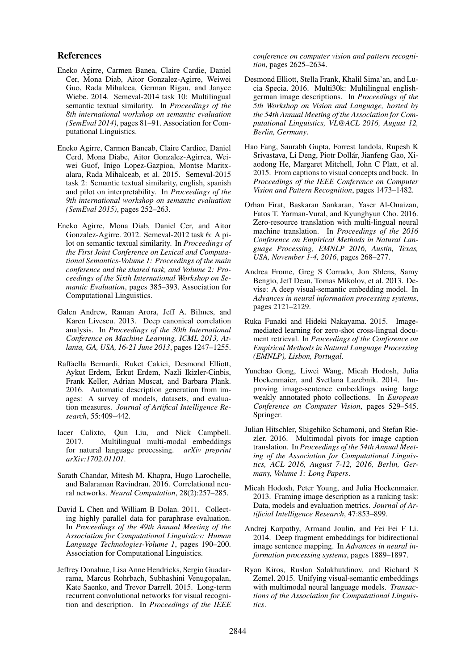### References

- Eneko Agirre, Carmen Banea, Claire Cardie, Daniel Cer, Mona Diab, Aitor Gonzalez-Agirre, Weiwei Guo, Rada Mihalcea, German Rigau, and Janyce Wiebe. 2014. Semeval-2014 task 10: Multilingual semantic textual similarity. In *Proceedings of the 8th international workshop on semantic evaluation (SemEval 2014)*, pages 81–91. Association for Computational Linguistics.
- Eneko Agirre, Carmen Baneab, Claire Cardiec, Daniel Cerd, Mona Diabe, Aitor Gonzalez-Agirrea, Weiwei Guof, Inigo Lopez-Gazpioa, Montse Maritxalara, Rada Mihalceab, et al. 2015. Semeval-2015 task 2: Semantic textual similarity, english, spanish and pilot on interpretability. In *Proceedings of the 9th international workshop on semantic evaluation (SemEval 2015)*, pages 252–263.
- Eneko Agirre, Mona Diab, Daniel Cer, and Aitor Gonzalez-Agirre. 2012. Semeval-2012 task 6: A pilot on semantic textual similarity. In *Proceedings of the First Joint Conference on Lexical and Computational Semantics-Volume 1: Proceedings of the main conference and the shared task, and Volume 2: Proceedings of the Sixth International Workshop on Semantic Evaluation*, pages 385–393. Association for Computational Linguistics.
- Galen Andrew, Raman Arora, Jeff A. Bilmes, and Karen Livescu. 2013. Deep canonical correlation analysis. In *Proceedings of the 30th International Conference on Machine Learning, ICML 2013, Atlanta, GA, USA, 16-21 June 2013*, pages 1247–1255.
- Raffaella Bernardi, Ruket Cakici, Desmond Elliott, Aykut Erdem, Erkut Erdem, Nazli Ikizler-Cinbis, Frank Keller, Adrian Muscat, and Barbara Plank. 2016. Automatic description generation from images: A survey of models, datasets, and evaluation measures. *Journal of Artifical Intelligence Research*, 55:409–442.
- Iacer Calixto, Qun Liu, and Nick Campbell. 2017. Multilingual multi-modal embeddings for natural language processing. *arXiv preprint arXiv:1702.01101*.
- Sarath Chandar, Mitesh M. Khapra, Hugo Larochelle, and Balaraman Ravindran. 2016. Correlational neural networks. *Neural Computation*, 28(2):257–285.
- David L Chen and William B Dolan. 2011. Collecting highly parallel data for paraphrase evaluation. In *Proceedings of the 49th Annual Meeting of the Association for Computational Linguistics: Human Language Technologies-Volume 1*, pages 190–200. Association for Computational Linguistics.
- Jeffrey Donahue, Lisa Anne Hendricks, Sergio Guadarrama, Marcus Rohrbach, Subhashini Venugopalan, Kate Saenko, and Trevor Darrell. 2015. Long-term recurrent convolutional networks for visual recognition and description. In *Proceedings of the IEEE*

*conference on computer vision and pattern recognition*, pages 2625–2634.

- Desmond Elliott, Stella Frank, Khalil Sima'an, and Lucia Specia. 2016. Multi30k: Multilingual englishgerman image descriptions. In *Proceedings of the 5th Workshop on Vision and Language, hosted by the 54th Annual Meeting of the Association for Computational Linguistics, VL@ACL 2016, August 12, Berlin, Germany*.
- Hao Fang, Saurabh Gupta, Forrest Iandola, Rupesh K Srivastava, Li Deng, Piotr Dollar, Jianfeng Gao, Xi- ´ aodong He, Margaret Mitchell, John C Platt, et al. 2015. From captions to visual concepts and back. In *Proceedings of the IEEE Conference on Computer Vision and Pattern Recognition*, pages 1473–1482.
- Orhan Firat, Baskaran Sankaran, Yaser Al-Onaizan, Fatos T. Yarman-Vural, and Kyunghyun Cho. 2016. Zero-resource translation with multi-lingual neural machine translation. In *Proceedings of the 2016 Conference on Empirical Methods in Natural Language Processing, EMNLP 2016, Austin, Texas, USA, November 1-4, 2016*, pages 268–277.
- Andrea Frome, Greg S Corrado, Jon Shlens, Samy Bengio, Jeff Dean, Tomas Mikolov, et al. 2013. Devise: A deep visual-semantic embedding model. In *Advances in neural information processing systems*, pages 2121–2129.
- Ruka Funaki and Hideki Nakayama. 2015. Imagemediated learning for zero-shot cross-lingual document retrieval. In *Proceedings of the Conference on Empirical Methods in Natural Language Processing (EMNLP), Lisbon, Portugal*.
- Yunchao Gong, Liwei Wang, Micah Hodosh, Julia Hockenmaier, and Svetlana Lazebnik. 2014. Improving image-sentence embeddings using large weakly annotated photo collections. In *European Conference on Computer Vision*, pages 529–545. Springer.
- Julian Hitschler, Shigehiko Schamoni, and Stefan Riezler. 2016. Multimodal pivots for image caption translation. In *Proceedings of the 54th Annual Meeting of the Association for Computational Linguistics, ACL 2016, August 7-12, 2016, Berlin, Germany, Volume 1: Long Papers*.
- Micah Hodosh, Peter Young, and Julia Hockenmaier. 2013. Framing image description as a ranking task: Data, models and evaluation metrics. *Journal of Artificial Intelligence Research*, 47:853–899.
- Andrej Karpathy, Armand Joulin, and Fei Fei F Li. 2014. Deep fragment embeddings for bidirectional image sentence mapping. In *Advances in neural information processing systems*, pages 1889–1897.
- Ryan Kiros, Ruslan Salakhutdinov, and Richard S Zemel. 2015. Unifying visual-semantic embeddings with multimodal neural language models. *Transactions of the Association for Computational Linguistics*.